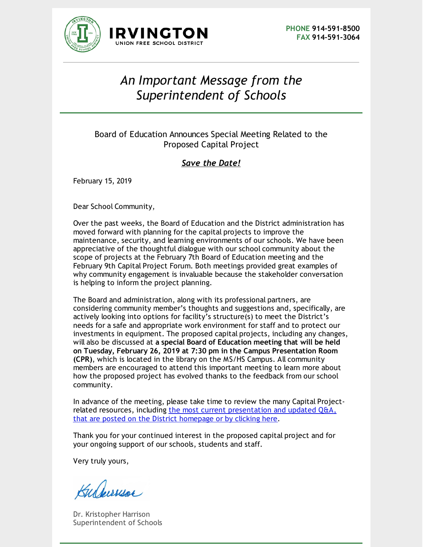



## *An Important Message from the Superintendent of Schools*

## Board of Education Announces Special Meeting Related to the Proposed Capital Project

## *Save the Date!*

February 15, 2019

Dear School Community,

Over the past weeks, the Board of Education and the District administration has moved forward with planning for the capital projects to improve the maintenance, security, and learning environments of our schools. We have been appreciative of the thoughtful dialogue with our school community about the scope of projects at the February 7th Board of Education meeting and the February 9th Capital Project Forum. Both meetings provided great examples of why community engagement is invaluable because the stakeholder conversation is helping to inform the project planning.

The Board and administration, along with its professional partners, are considering community member's thoughts and suggestions and, specifically, are actively looking into options for facility's structure(s) to meet the District's needs for a safe and appropriate work environment for staff and to protect our investments in equipment. The proposed capital projects, including any changes, will also be discussed at **a special Board of Education meeting that will be held on Tuesday, February 26, 2019 at 7:30 pm in the Campus Presentation Room (CPR)**, which is located in the library on the MS/HS Campus. All community members are encouraged to attend this important meeting to learn more about how the proposed project has evolved thanks to the feedback from our school community.

In advance of the meeting, please take time to review the many Capital Projectrelated resources, including the most current [presentation](https://ny02208289.schoolwires.net/cms/lib/NY02208289/Centricity/domain/4/district documents/Updated Capital Project Q and A - 02-15-2019.pdf) and updated Q&A, that are posted on the District homepage or by clicking here.

Thank you for your continued interest in the proposed capital project and for your ongoing support of our schools, students and staff.

Very truly yours,

Kulewuse

Dr. Kristopher Harrison Superintendent of Schools